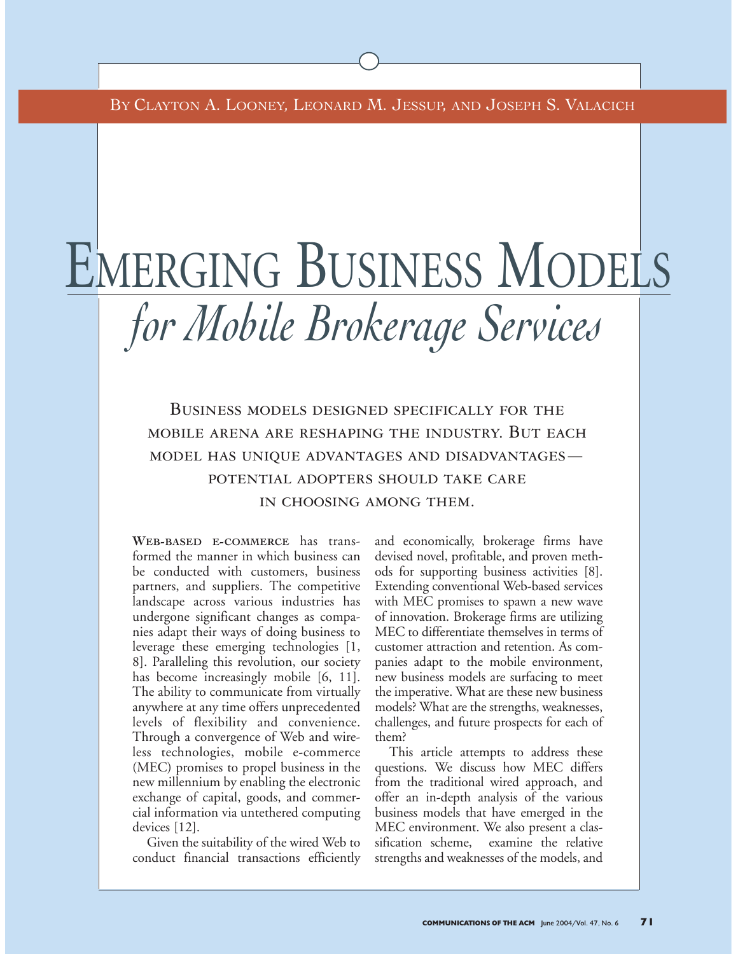BY CLAYTON A. LOONEY, LEONARD M. JESSUP, AND JOSEPH S. VALACICH

# EMERGING BUSINESS MODELS *for Mobile Brokerage Services*

Business models designed specifically for the mobile arena are reshaping the industry. But each model has unique advantages and disadvantages potential adopters should take care in choosing among them.

**WEB-BASED E-COMMERCE** has transformed the manner in which business can be conducted with customers, business partners, and suppliers. The competitive landscape across various industries has undergone significant changes as companies adapt their ways of doing business to leverage these emerging technologies [1, 8]. Paralleling this revolution, our society has become increasingly mobile [6, 11]. The ability to communicate from virtually anywhere at any time offers unprecedented levels of flexibility and convenience. Through a convergence of Web and wireless technologies, mobile e-commerce (MEC) promises to propel business in the new millennium by enabling the electronic exchange of capital, goods, and commercial information via untethered computing devices [12].

Given the suitability of the wired Web to conduct financial transactions efficiently and economically, brokerage firms have devised novel, profitable, and proven methods for supporting business activities [8]. Extending conventional Web-based services with MEC promises to spawn a new wave of innovation. Brokerage firms are utilizing MEC to differentiate themselves in terms of customer attraction and retention. As companies adapt to the mobile environment, new business models are surfacing to meet the imperative. What are these new business models? What are the strengths, weaknesses, challenges, and future prospects for each of them?

This article attempts to address these questions. We discuss how MEC differs from the traditional wired approach, and offer an in-depth analysis of the various business models that have emerged in the MEC environment. We also present a classification scheme, examine the relative strengths and weaknesses of the models, and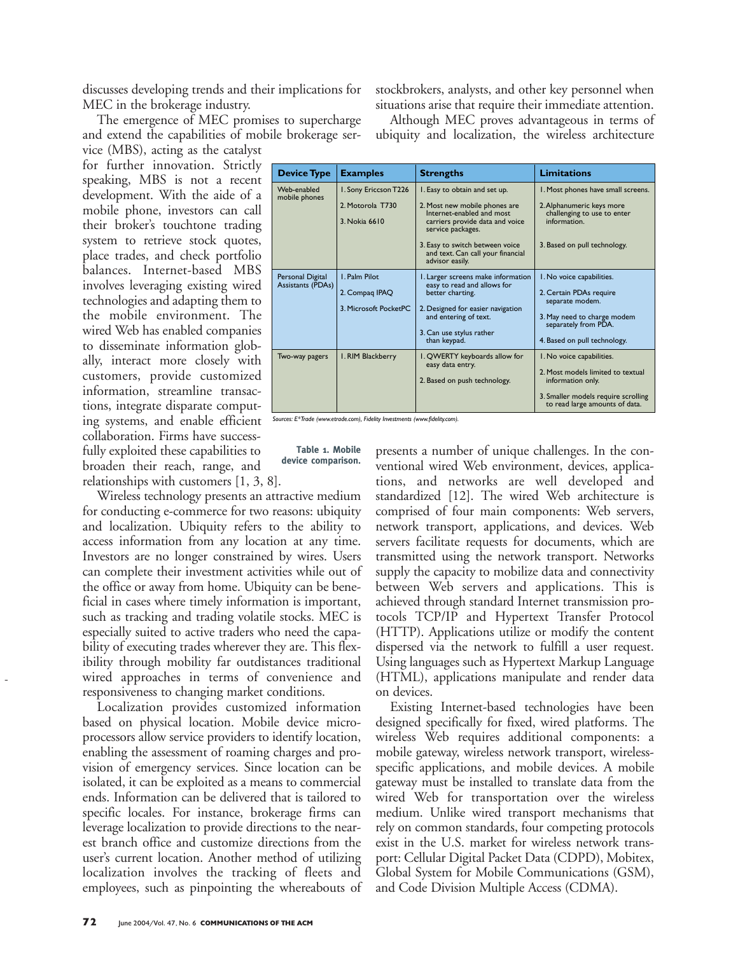discusses developing trends and their implications for MEC in the brokerage industry.

The emergence of MEC promises to supercharge and extend the capabilities of mobile brokerage service (MBS), acting as the catalyst

for further innovation. Strictly speaking, MBS is not a recent development. With the aide of a mobile phone, investors can call their broker's touchtone trading system to retrieve stock quotes, place trades, and check portfolio balances. Internet-based MBS involves leveraging existing wired technologies and adapting them to the mobile environment. The wired Web has enabled companies to disseminate information globally, interact more closely with customers, provide customized information, streamline transactions, integrate disparate computing systems, and enable efficient collaboration. Firms have successfully exploited these capabilities to broaden their reach, range, and relationships with customers [1, 3, 8].

Wireless technology presents an attractive medium for conducting e-commerce for two reasons: ubiquity and localization. Ubiquity refers to the ability to access information from any location at any time. Investors are no longer constrained by wires. Users can complete their investment activities while out of the office or away from home. Ubiquity can be beneficial in cases where timely information is important, such as tracking and trading volatile stocks. MEC is especially suited to active traders who need the capability of executing trades wherever they are. This flexibility through mobility far outdistances traditional wired approaches in terms of convenience and responsiveness to changing market conditions.

Localization provides customized information based on physical location. Mobile device microprocessors allow service providers to identify location, enabling the assessment of roaming charges and provision of emergency services. Since location can be isolated, it can be exploited as a means to commercial ends. Information can be delivered that is tailored to specific locales. For instance, brokerage firms can leverage localization to provide directions to the nearest branch office and customize directions from the user's current location. Another method of utilizing localization involves the tracking of fleets and employees, such as pinpointing the whereabouts of stockbrokers, analysts, and other key personnel when situations arise that require their immediate attention.

Although MEC proves advantageous in terms of ubiquity and localization, the wireless architecture

| <b>Device Type</b>                    | <b>Examples</b>                                                 | <b>Strengths</b>                                                                                                                                                                                                                               | <b>Limitations</b>                                                                                                                                             |
|---------------------------------------|-----------------------------------------------------------------|------------------------------------------------------------------------------------------------------------------------------------------------------------------------------------------------------------------------------------------------|----------------------------------------------------------------------------------------------------------------------------------------------------------------|
| Web-enabled<br>mobile phones          | I. Sony Ericcson T226<br>2. Motorola T730<br>3. Nokia 6610      | I. Easy to obtain and set up.<br>2. Most new mobile phones are<br>Internet-enabled and most<br>carriers provide data and voice<br>service packages.<br>3. Easy to switch between voice<br>and text. Can call your financial<br>advisor easily. | I. Most phones have small screens.<br>2. Alphanumeric keys more<br>challenging to use to enter<br>information.<br>3. Based on pull technology.                 |
| Personal Digital<br>Assistants (PDAs) | <b>I. Palm Pilot</b><br>2. Compag IPAQ<br>3. Microsoft PocketPC | I. Larger screens make information<br>easy to read and allows for<br>better charting.<br>2. Designed for easier navigation<br>and entering of text.<br>3. Can use stylus rather<br>than keypad.                                                | I. No voice capabilities.<br>2. Certain PDAs require<br>separate modem.<br>3. May need to charge modem<br>separately from PDA.<br>4. Based on pull technology. |
| Two-way pagers                        | I. RIM Blackberry                                               | I. QWERTY keyboards allow for<br>easy data entry.<br>2. Based on push technology.                                                                                                                                                              | I. No voice capabilities.<br>2. Most models limited to textual<br>information only.<br>3. Smaller models require scrolling<br>to read large amounts of data.   |

*Sources: E\*Trade (www.etrade.com), Fidelity Investments (www.fidelity.com).*

**Table 1. Mobile device comparison.** presents a number of unique challenges. In the conventional wired Web environment, devices, applications, and networks are well developed and standardized [12]. The wired Web architecture is comprised of four main components: Web servers, network transport, applications, and devices. Web servers facilitate requests for documents, which are transmitted using the network transport. Networks supply the capacity to mobilize data and connectivity between Web servers and applications. This is achieved through standard Internet transmission protocols TCP/IP and Hypertext Transfer Protocol (HTTP). Applications utilize or modify the content dispersed via the network to fulfill a user request. Using languages such as Hypertext Markup Language (HTML), applications manipulate and render data on devices.

Existing Internet-based technologies have been designed specifically for fixed, wired platforms. The wireless Web requires additional components: a mobile gateway, wireless network transport, wirelessspecific applications, and mobile devices. A mobile gateway must be installed to translate data from the wired Web for transportation over the wireless medium. Unlike wired transport mechanisms that rely on common standards, four competing protocols exist in the U.S. market for wireless network transport: Cellular Digital Packet Data (CDPD), Mobitex, Global System for Mobile Communications (GSM), and Code Division Multiple Access (CDMA).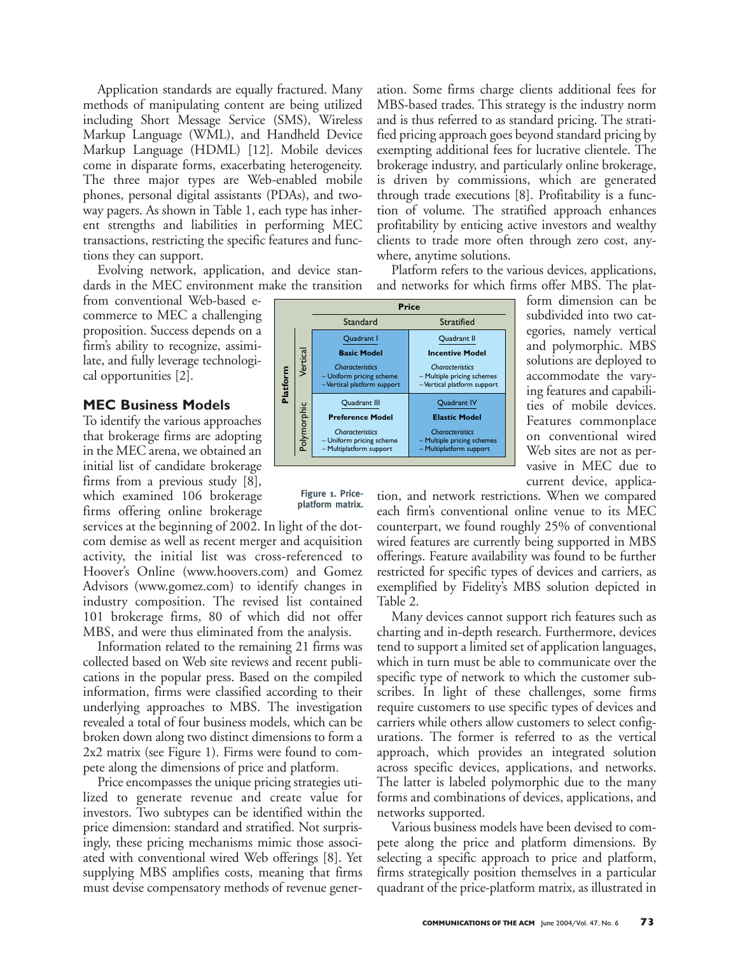Application standards are equally fractured. Many methods of manipulating content are being utilized including Short Message Service (SMS), Wireless Markup Language (WML), and Handheld Device Markup Language (HDML) [12]. Mobile devices come in disparate forms, exacerbating heterogeneity. The three major types are Web-enabled mobile phones, personal digital assistants (PDAs), and twoway pagers. As shown in Table 1, each type has inherent strengths and liabilities in performing MEC transactions, restricting the specific features and functions they can support.

Evolving network, application, and device standards in the MEC environment make the transition

from conventional Web-based ecommerce to MEC a challenging proposition. Success depends on a firm's ability to recognize, assimilate, and fully leverage technological opportunities [2].

# **MEC Business Models**

To identify the various approaches that brokerage firms are adopting in the MEC arena, we obtained an initial list of candidate brokerage firms from a previous study [8], which examined 106 brokerage firms offering online brokerage

services at the beginning of 2002. In light of the dotcom demise as well as recent merger and acquisition activity, the initial list was cross-referenced to Hoover's Online (www.hoovers.com) and Gomez Advisors (www.gomez.com) to identify changes in industry composition. The revised list contained 101 brokerage firms, 80 of which did not offer MBS, and were thus eliminated from the analysis.

Information related to the remaining 21 firms was collected based on Web site reviews and recent publications in the popular press. Based on the compiled information, firms were classified according to their underlying approaches to MBS. The investigation revealed a total of four business models, which can be broken down along two distinct dimensions to form a 2x2 matrix (see Figure 1). Firms were found to compete along the dimensions of price and platform.

Price encompasses the unique pricing strategies utilized to generate revenue and create value for investors. Two subtypes can be identified within the price dimension: standard and stratified. Not surprisingly, these pricing mechanisms mimic those associated with conventional wired Web offerings [8]. Yet supplying MBS amplifies costs, meaning that firms must devise compensatory methods of revenue generation. Some firms charge clients additional fees for MBS-based trades. This strategy is the industry norm and is thus referred to as standard pricing. The stratified pricing approach goes beyond standard pricing by exempting additional fees for lucrative clientele. The brokerage industry, and particularly online brokerage, is driven by commissions, which are generated through trade executions [8]. Profitability is a function of volume. The stratified approach enhances profitability by enticing active investors and wealthy clients to trade more often through zero cost, anywhere, anytime solutions.

Platform refers to the various devices, applications, and networks for which firms offer MBS. The plat-

> form dimension can be subdivided into two categories, namely vertical and polymorphic. MBS solutions are deployed to accommodate the varying features and capabilities of mobile devices. Features commonplace on conventional wired Web sites are not as pervasive in MEC due to current device, applica-

|                      | <b>Price</b>                                                                                                             |                                                                                                                        |  |  |  |
|----------------------|--------------------------------------------------------------------------------------------------------------------------|------------------------------------------------------------------------------------------------------------------------|--|--|--|
|                      | Standard                                                                                                                 | <b>Stratified</b>                                                                                                      |  |  |  |
| Vertical<br>Platform | Quadrant I                                                                                                               | Quadrant II                                                                                                            |  |  |  |
|                      | <b>Basic Model</b>                                                                                                       | <b>Incentive Model</b>                                                                                                 |  |  |  |
|                      | <b>Characteristics</b><br>- Uniform pricing scheme<br>-Vertical platform support                                         | <b>Characteristics</b><br>- Multiple pricing schemes<br>-Vertical platform support                                     |  |  |  |
| Polymorphic          | Quadrant III<br><b>Preference Model</b><br><b>Characteristics</b><br>- Uniform pricing scheme<br>- Multiplatform support | Quadrant IV<br><b>Elastic Model</b><br><b>Characteristics</b><br>- Multiple pricing schemes<br>- Multiplatform support |  |  |  |
|                      |                                                                                                                          |                                                                                                                        |  |  |  |

**Figure 1. Priceplatform matrix.**

tion, and network restrictions. When we compared each firm's conventional online venue to its MEC counterpart, we found roughly 25% of conventional wired features are currently being supported in MBS offerings. Feature availability was found to be further restricted for specific types of devices and carriers, as exemplified by Fidelity's MBS solution depicted in Table 2.

Many devices cannot support rich features such as charting and in-depth research. Furthermore, devices tend to support a limited set of application languages, which in turn must be able to communicate over the specific type of network to which the customer subscribes. In light of these challenges, some firms require customers to use specific types of devices and carriers while others allow customers to select configurations. The former is referred to as the vertical approach, which provides an integrated solution across specific devices, applications, and networks. The latter is labeled polymorphic due to the many forms and combinations of devices, applications, and networks supported.

Various business models have been devised to compete along the price and platform dimensions. By selecting a specific approach to price and platform, firms strategically position themselves in a particular quadrant of the price-platform matrix, as illustrated in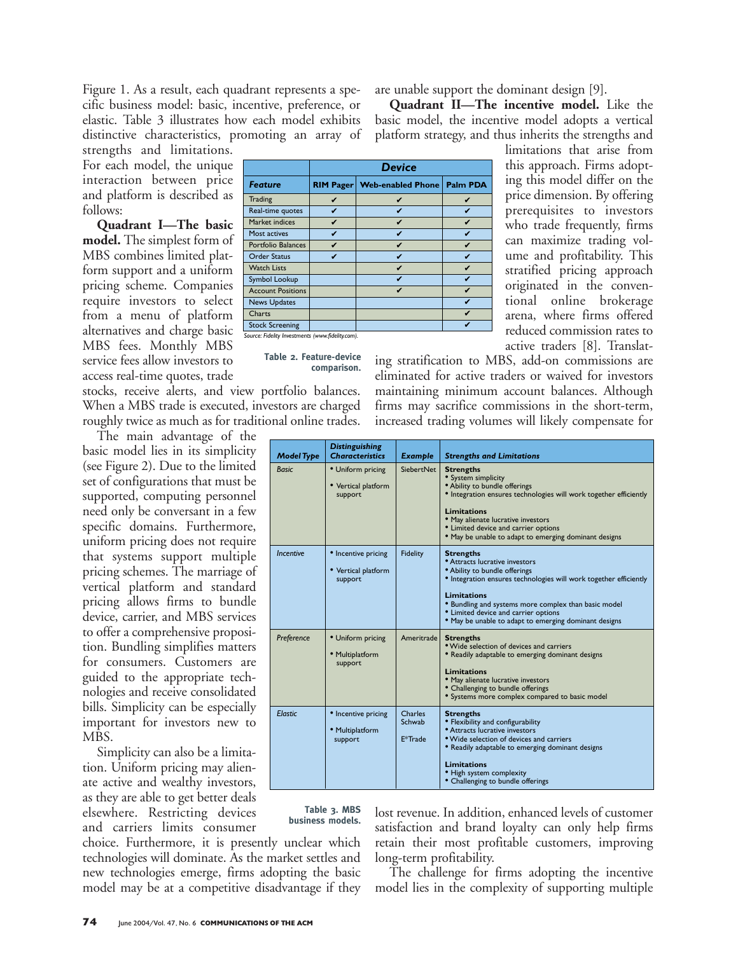Figure 1. As a result, each quadrant represents a specific business model: basic, incentive, preference, or elastic. Table 3 illustrates how each model exhibits distinctive characteristics, promoting an array of

strengths and limitations. For each model, the unique interaction between price and platform is described as follows:

**Quadrant I—The basic model.** The simplest form of MBS combines limited platform support and a uniform pricing scheme. Companies require investors to select from a menu of platform alternatives and charge basic MBS fees. Monthly MBS service fees allow investors to access real-time quotes, trade

stocks, receive alerts, and view portfolio balances. When a MBS trade is executed, investors are charged roughly twice as much as for traditional online trades.

The main advantage of the basic model lies in its simplicity (see Figure 2). Due to the limited set of configurations that must be supported, computing personnel need only be conversant in a few specific domains. Furthermore, uniform pricing does not require that systems support multiple pricing schemes. The marriage of vertical platform and standard pricing allows firms to bundle device, carrier, and MBS services to offer a comprehensive proposition. Bundling simplifies matters for consumers. Customers are guided to the appropriate technologies and receive consolidated bills. Simplicity can be especially important for investors new to MBS.

Simplicity can also be a limitation. Uniform pricing may alienate active and wealthy investors, as they are able to get better deals elsewhere. Restricting devices and carriers limits consumer

choice. Furthermore, it is presently unclear which technologies will dominate. As the market settles and new technologies emerge, firms adopting the basic model may be at a competitive disadvantage if they are unable support the dominant design [9].

**Quadrant II—The incentive model.** Like the basic model, the incentive model adopts a vertical platform strategy, and thus inherits the strengths and

|                           | <b>Device</b>    |                          |                 |
|---------------------------|------------------|--------------------------|-----------------|
| <b>Feature</b>            | <b>RIM Pager</b> | <b>Web-enabled Phone</b> | <b>Palm PDA</b> |
| Trading                   | ✓                | ✓                        | V               |
| Real-time quotes          | ✓                | V                        | v               |
| Market indices            | V                | V                        | V               |
| Most actives              | V                | V                        | V               |
| <b>Portfolio Balances</b> | ✓                | V                        | v               |
| <b>Order Status</b>       | ✔                | V                        | v               |
| <b>Watch Lists</b>        |                  | V                        | V               |
| Symbol Lookup             |                  | ✓                        | ✔               |
| <b>Account Positions</b>  |                  | v                        | v               |
| <b>News Updates</b>       |                  |                          | v               |
| Charts                    |                  |                          | V               |
| <b>Stock Screening</b>    |                  |                          |                 |

**Table 2. Feature-device comparison.** limitations that arise from this approach. Firms adopting this model differ on the price dimension. By offering prerequisites to investors who trade frequently, firms can maximize trading volume and profitability. This stratified pricing approach originated in the conventional online brokerage arena, where firms offered reduced commission rates to active traders [8]. Translat-

ing stratification to MBS, add-on commissions are eliminated for active traders or waived for investors maintaining minimum account balances. Although firms may sacrifice commissions in the short-term, increased trading volumes will likely compensate for

| Model Type       | <b>Distinguishing</b><br><b>Characteristics</b>       | Example                                   | <b>Strengths and Limitations</b>                                                                                                                                                                                                                                                                                                        |
|------------------|-------------------------------------------------------|-------------------------------------------|-----------------------------------------------------------------------------------------------------------------------------------------------------------------------------------------------------------------------------------------------------------------------------------------------------------------------------------------|
| <b>Basic</b>     | • Uniform pricing<br>• Vertical platform<br>support   | SiebertNet                                | <b>Strengths</b><br>• System simplicity<br>• Ability to bundle offerings<br>• Integration ensures technologies will work together efficiently<br>Limitations<br>· May alienate lucrative investors<br>• Limited device and carrier options<br>• May be unable to adapt to emerging dominant designs                                     |
| <b>Incentive</b> | • Incentive pricing<br>• Vertical platform<br>support | Fidelity                                  | <b>Strengths</b><br><b>*</b> Attracts lucrative investors<br>• Ability to bundle offerings<br>• Integration ensures technologies will work together efficiently<br>Limitations<br>• Bundling and systems more complex than basic model<br>• Limited device and carrier options<br>• May be unable to adapt to emerging dominant designs |
| Preference       | • Uniform pricing<br>· Multiplatform<br>support       | Ameritrade                                | <b>Strengths</b><br>• Wide selection of devices and carriers<br>• Readily adaptable to emerging dominant designs<br>Limitations<br>· May alienate lucrative investors<br>• Challenging to bundle offerings<br>• Systems more complex compared to basic model                                                                            |
| <b>Elastic</b>   | • Incentive pricing<br>· Multiplatform<br>support     | Charles<br>Schwab<br>E <sup>*</sup> Trade | <b>Strengths</b><br>• Flexibility and configurability<br>• Attracts lucrative investors<br>• Wide selection of devices and carriers<br>• Readily adaptable to emerging dominant designs<br>Limitations<br>• High system complexity<br>• Challenging to bundle offerings                                                                 |

**Table 3. MBS business models.**

lost revenue. In addition, enhanced levels of customer satisfaction and brand loyalty can only help firms retain their most profitable customers, improving long-term profitability.

The challenge for firms adopting the incentive model lies in the complexity of supporting multiple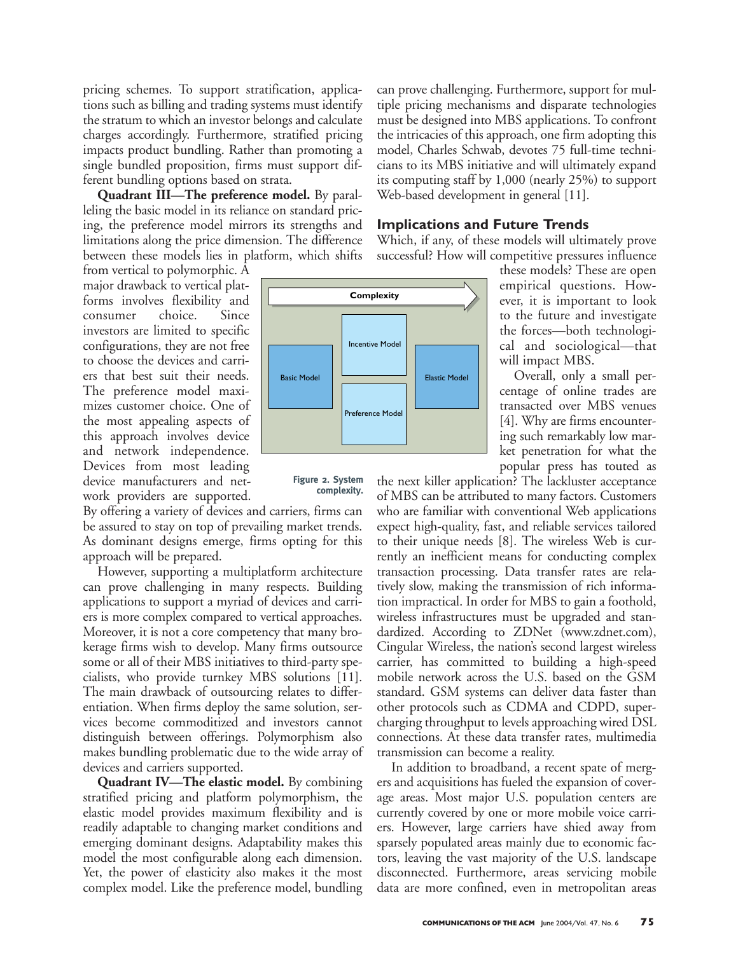pricing schemes. To support stratification, applications such as billing and trading systems must identify the stratum to which an investor belongs and calculate charges accordingly. Furthermore, stratified pricing impacts product bundling. Rather than promoting a single bundled proposition, firms must support different bundling options based on strata.

**Quadrant III—The preference model.** By paralleling the basic model in its reliance on standard pricing, the preference model mirrors its strengths and limitations along the price dimension. The difference between these models lies in platform, which shifts

from vertical to polymorphic. A major drawback to vertical platforms involves flexibility and consumer choice. Since investors are limited to specific configurations, they are not free to choose the devices and carriers that best suit their needs. The preference model maximizes customer choice. One of the most appealing aspects of this approach involves device and network independence. Devices from most leading device manufacturers and network providers are supported.

By offering a variety of devices and carriers, firms can be assured to stay on top of prevailing market trends. As dominant designs emerge, firms opting for this approach will be prepared.

However, supporting a multiplatform architecture can prove challenging in many respects. Building applications to support a myriad of devices and carriers is more complex compared to vertical approaches. Moreover, it is not a core competency that many brokerage firms wish to develop. Many firms outsource some or all of their MBS initiatives to third-party specialists, who provide turnkey MBS solutions [11]. The main drawback of outsourcing relates to differentiation. When firms deploy the same solution, services become commoditized and investors cannot distinguish between offerings. Polymorphism also makes bundling problematic due to the wide array of devices and carriers supported.

**Quadrant IV—The elastic model.** By combining stratified pricing and platform polymorphism, the elastic model provides maximum flexibility and is readily adaptable to changing market conditions and emerging dominant designs. Adaptability makes this model the most configurable along each dimension. Yet, the power of elasticity also makes it the most complex model. Like the preference model, bundling can prove challenging. Furthermore, support for multiple pricing mechanisms and disparate technologies must be designed into MBS applications. To confront the intricacies of this approach, one firm adopting this model, Charles Schwab, devotes 75 full-time technicians to its MBS initiative and will ultimately expand its computing staff by 1,000 (nearly 25%) to support Web-based development in general [11].

### **Implications and Future Trends**

Which, if any, of these models will ultimately prove successful? How will competitive pressures influence



**Figure 2. System complexity.** these models? These are open empirical questions. However, it is important to look to the future and investigate the forces—both technological and sociological—that will impact MBS.

Overall, only a small percentage of online trades are transacted over MBS venues [4]. Why are firms encountering such remarkably low market penetration for what the popular press has touted as

the next killer application? The lackluster acceptance of MBS can be attributed to many factors. Customers who are familiar with conventional Web applications expect high-quality, fast, and reliable services tailored to their unique needs [8]. The wireless Web is currently an inefficient means for conducting complex transaction processing. Data transfer rates are relatively slow, making the transmission of rich information impractical. In order for MBS to gain a foothold, wireless infrastructures must be upgraded and standardized. According to ZDNet (www.zdnet.com), Cingular Wireless, the nation's second largest wireless carrier, has committed to building a high-speed mobile network across the U.S. based on the GSM standard. GSM systems can deliver data faster than other protocols such as CDMA and CDPD, supercharging throughput to levels approaching wired DSL connections. At these data transfer rates, multimedia transmission can become a reality.

In addition to broadband, a recent spate of mergers and acquisitions has fueled the expansion of coverage areas. Most major U.S. population centers are currently covered by one or more mobile voice carriers. However, large carriers have shied away from sparsely populated areas mainly due to economic factors, leaving the vast majority of the U.S. landscape disconnected. Furthermore, areas servicing mobile data are more confined, even in metropolitan areas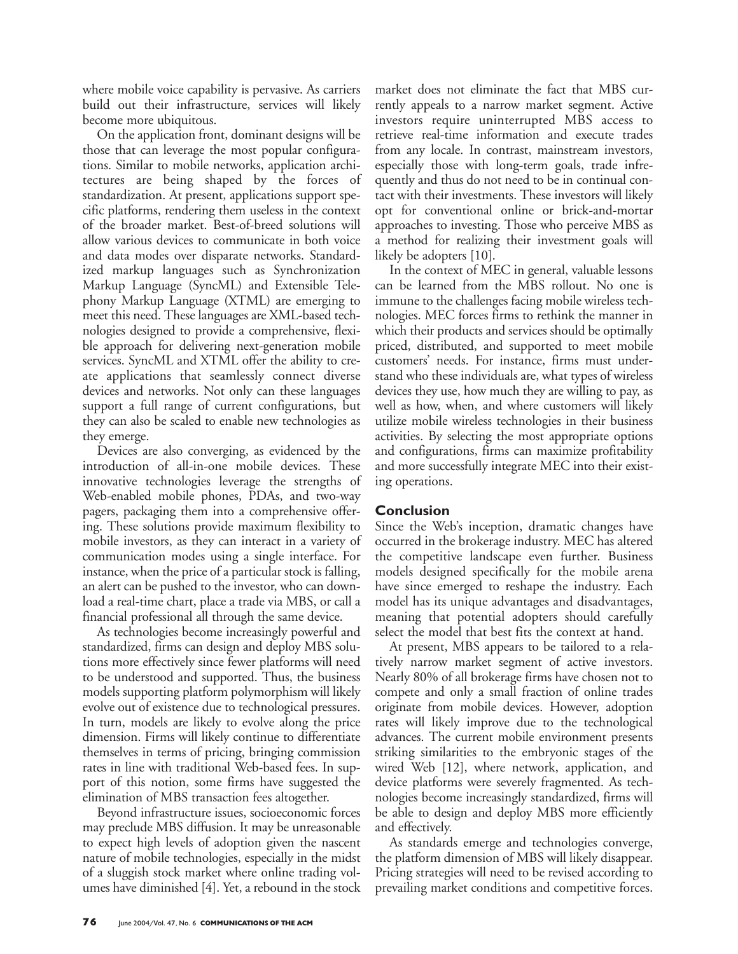where mobile voice capability is pervasive. As carriers build out their infrastructure, services will likely become more ubiquitous.

On the application front, dominant designs will be those that can leverage the most popular configurations. Similar to mobile networks, application architectures are being shaped by the forces of standardization. At present, applications support specific platforms, rendering them useless in the context of the broader market. Best-of-breed solutions will allow various devices to communicate in both voice and data modes over disparate networks. Standardized markup languages such as Synchronization Markup Language (SyncML) and Extensible Telephony Markup Language (XTML) are emerging to meet this need. These languages are XML-based technologies designed to provide a comprehensive, flexible approach for delivering next-generation mobile services. SyncML and XTML offer the ability to create applications that seamlessly connect diverse devices and networks. Not only can these languages support a full range of current configurations, but they can also be scaled to enable new technologies as they emerge.

Devices are also converging, as evidenced by the introduction of all-in-one mobile devices. These innovative technologies leverage the strengths of Web-enabled mobile phones, PDAs, and two-way pagers, packaging them into a comprehensive offering. These solutions provide maximum flexibility to mobile investors, as they can interact in a variety of communication modes using a single interface. For instance, when the price of a particular stock is falling, an alert can be pushed to the investor, who can download a real-time chart, place a trade via MBS, or call a financial professional all through the same device.

As technologies become increasingly powerful and standardized, firms can design and deploy MBS solutions more effectively since fewer platforms will need to be understood and supported. Thus, the business models supporting platform polymorphism will likely evolve out of existence due to technological pressures. In turn, models are likely to evolve along the price dimension. Firms will likely continue to differentiate themselves in terms of pricing, bringing commission rates in line with traditional Web-based fees. In support of this notion, some firms have suggested the elimination of MBS transaction fees altogether.

Beyond infrastructure issues, socioeconomic forces may preclude MBS diffusion. It may be unreasonable to expect high levels of adoption given the nascent nature of mobile technologies, especially in the midst of a sluggish stock market where online trading volumes have diminished [4]. Yet, a rebound in the stock

market does not eliminate the fact that MBS currently appeals to a narrow market segment. Active investors require uninterrupted MBS access to retrieve real-time information and execute trades from any locale. In contrast, mainstream investors, especially those with long-term goals, trade infrequently and thus do not need to be in continual contact with their investments. These investors will likely opt for conventional online or brick-and-mortar approaches to investing. Those who perceive MBS as a method for realizing their investment goals will likely be adopters [10].

In the context of MEC in general, valuable lessons can be learned from the MBS rollout. No one is immune to the challenges facing mobile wireless technologies. MEC forces firms to rethink the manner in which their products and services should be optimally priced, distributed, and supported to meet mobile customers' needs. For instance, firms must understand who these individuals are, what types of wireless devices they use, how much they are willing to pay, as well as how, when, and where customers will likely utilize mobile wireless technologies in their business activities. By selecting the most appropriate options and configurations, firms can maximize profitability and more successfully integrate MEC into their existing operations.

# **Conclusion**

Since the Web's inception, dramatic changes have occurred in the brokerage industry. MEC has altered the competitive landscape even further. Business models designed specifically for the mobile arena have since emerged to reshape the industry. Each model has its unique advantages and disadvantages, meaning that potential adopters should carefully select the model that best fits the context at hand.

At present, MBS appears to be tailored to a relatively narrow market segment of active investors. Nearly 80% of all brokerage firms have chosen not to compete and only a small fraction of online trades originate from mobile devices. However, adoption rates will likely improve due to the technological advances. The current mobile environment presents striking similarities to the embryonic stages of the wired Web [12], where network, application, and device platforms were severely fragmented. As technologies become increasingly standardized, firms will be able to design and deploy MBS more efficiently and effectively.

As standards emerge and technologies converge, the platform dimension of MBS will likely disappear. Pricing strategies will need to be revised according to prevailing market conditions and competitive forces.